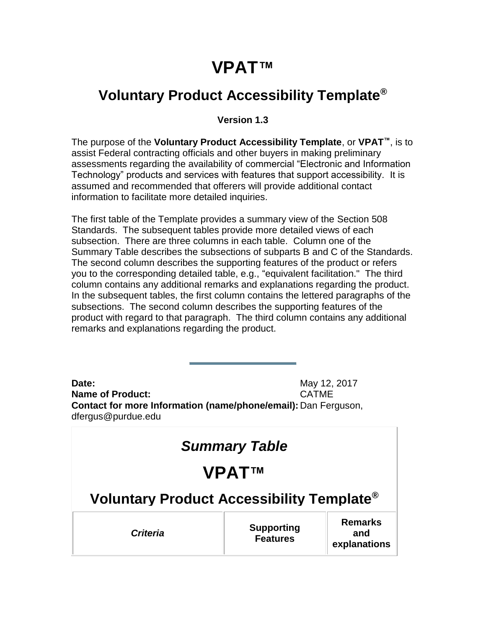## **VPAT™**

#### <span id="page-0-0"></span>**Voluntary Product Accessibility Template®**

#### **Version 1.3**

The purpose of the **Voluntary Product Accessibility Template**, or **VPAT™**, is to assist Federal contracting officials and other buyers in making preliminary assessments regarding the availability of commercial "Electronic and Information Technology" products and services with features that support accessibility. It is assumed and recommended that offerers will provide additional contact information to facilitate more detailed inquiries.

The first table of the Template provides a summary view of the Section 508 Standards. The subsequent tables provide more detailed views of each subsection. There are three columns in each table. Column one of the Summary Table describes the subsections of subparts B and C of the Standards. The second column describes the supporting features of the product or refers you to the corresponding detailed table, e.g., "equivalent facilitation." The third column contains any additional remarks and explanations regarding the product. In the subsequent tables, the first column contains the lettered paragraphs of the subsections. The second column describes the supporting features of the product with regard to that paragraph. The third column contains any additional remarks and explanations regarding the product.

**Date:** May 12, 2017 **Name of Product:** CATME **Contact for more Information (name/phone/email):** Dan Ferguson, dfergus@purdue.edu

| <b>Summary Table</b>                                  |                                      |                                       |
|-------------------------------------------------------|--------------------------------------|---------------------------------------|
| <b>VPATTM</b>                                         |                                      |                                       |
| Voluntary Product Accessibility Template <sup>®</sup> |                                      |                                       |
| <b>Criteria</b>                                       | <b>Supporting</b><br><b>Features</b> | <b>Remarks</b><br>and<br>explanations |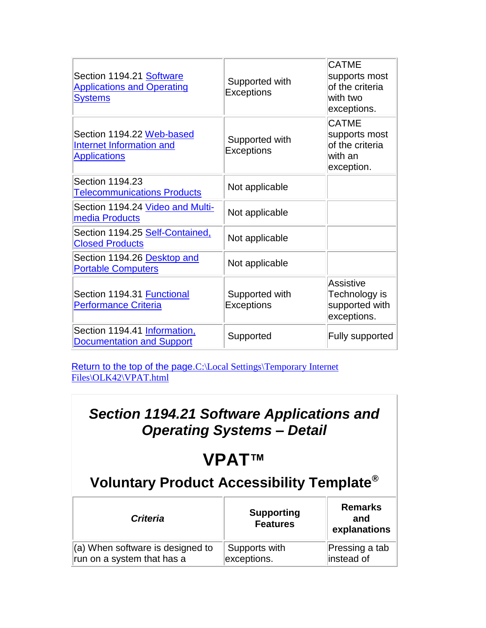| Section 1194.21 Software<br><b>Applications and Operating</b><br>Systems     | Supported with<br><b>Exceptions</b> | <b>CATME</b><br>supports most<br>of the criteria<br>with two<br>exceptions. |
|------------------------------------------------------------------------------|-------------------------------------|-----------------------------------------------------------------------------|
| Section 1194.22 Web-based<br>Internet Information and<br><b>Applications</b> | Supported with<br><b>Exceptions</b> | <b>CATME</b><br>supports most<br>of the criteria<br>with an<br>exception.   |
| Section 1194.23<br><b>Telecommunications Products</b>                        | Not applicable                      |                                                                             |
| Section 1194.24 Video and Multi-<br>media Products                           | Not applicable                      |                                                                             |
| Section 1194.25 Self-Contained,<br><b>Closed Products</b>                    | Not applicable                      |                                                                             |
| Section 1194.26 Desktop and<br><b>Portable Computers</b>                     | Not applicable                      |                                                                             |
| Section 1194.31 Functional<br><b>Performance Criteria</b>                    | Supported with<br><b>Exceptions</b> | <b>Assistive</b><br>Technology is<br>supported with<br>exceptions.          |
| Section 1194.41 Information,<br><b>Documentation and Support</b>             | Supported                           | <b>Fully supported</b>                                                      |

[Return to the top of the page.](#page-0-0)C:\Local Settings\Temporary Internet [Files\OLK42\VPAT.html](file:///C:/Local%20Settings/Temporary%20Internet%20Files/OLK42/VPAT.html)

### *Section 1194.21 Software Applications and Operating Systems – Detail*

# <span id="page-1-0"></span>**VPAT™**

## **Voluntary Product Accessibility Template®**

| <b>Criteria</b>                  | <b>Supporting</b><br><b>Features</b> | <b>Remarks</b><br>and<br>explanations |
|----------------------------------|--------------------------------------|---------------------------------------|
| (a) When software is designed to | Supports with                        | Pressing a tab                        |
| run on a system that has a       | exceptions.                          | instead of                            |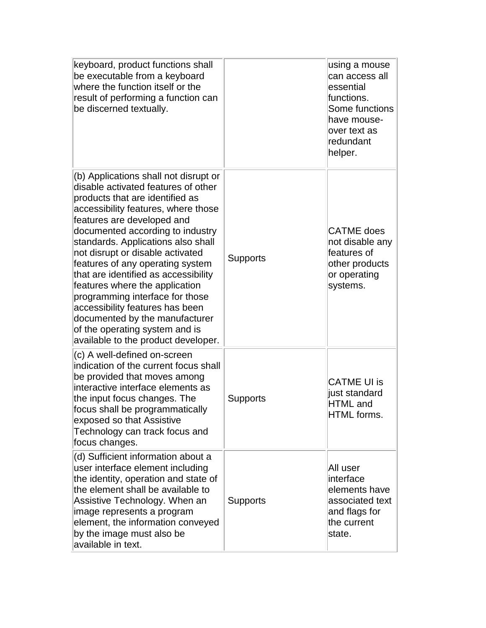| keyboard, product functions shall<br>be executable from a keyboard<br>where the function itself or the<br>result of performing a function can<br>be discerned textually.                                                                                                                                                                                                                                                                                                                                                                                                                          |                 | using a mouse<br>can access all<br>essential<br>functions.<br>Some functions<br>have mouse-<br>over text as<br>redundant<br>helper. |
|---------------------------------------------------------------------------------------------------------------------------------------------------------------------------------------------------------------------------------------------------------------------------------------------------------------------------------------------------------------------------------------------------------------------------------------------------------------------------------------------------------------------------------------------------------------------------------------------------|-----------------|-------------------------------------------------------------------------------------------------------------------------------------|
| (b) Applications shall not disrupt or<br>disable activated features of other<br>products that are identified as<br>accessibility features, where those<br>features are developed and<br>documented according to industry<br>standards. Applications also shall<br>not disrupt or disable activated<br>features of any operating system<br>that are identified as accessibility<br>features where the application<br>programming interface for those<br>accessibility features has been<br>documented by the manufacturer<br>of the operating system and is<br>available to the product developer. | <b>Supports</b> | <b>CATME</b> does<br>not disable any<br>features of<br>other products<br>or operating<br>systems.                                   |
| (c) A well-defined on-screen<br>indication of the current focus shall<br>be provided that moves among<br>interactive interface elements as<br>the input focus changes. The<br>focus shall be programmatically<br>exposed so that Assistive<br>Technology can track focus and<br>focus changes.                                                                                                                                                                                                                                                                                                    | Supports        | <b>CATME UI is</b><br>just standard<br><b>HTML</b> and<br>HTML forms.                                                               |
| (d) Sufficient information about a<br>user interface element including<br>the identity, operation and state of<br>the element shall be available to<br>Assistive Technology. When an<br>image represents a program<br>element, the information conveyed<br>by the image must also be<br>available in text.                                                                                                                                                                                                                                                                                        | <b>Supports</b> | All user<br>interface<br>elements have<br>associated text<br>and flags for<br>the current<br>state.                                 |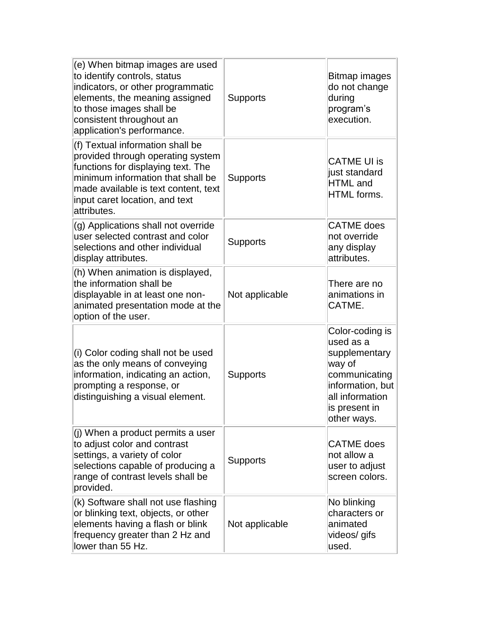| (e) When bitmap images are used<br>to identify controls, status<br>indicators, or other programmatic<br>elements, the meaning assigned<br>to those images shall be<br>consistent throughout an<br>application's performance.              | <b>Supports</b> | Bitmap images<br>do not change<br>during<br>program's<br>execution.                                                                             |
|-------------------------------------------------------------------------------------------------------------------------------------------------------------------------------------------------------------------------------------------|-----------------|-------------------------------------------------------------------------------------------------------------------------------------------------|
| (f) Textual information shall be<br>provided through operating system<br>functions for displaying text. The<br>minimum information that shall be<br>made available is text content, text<br>input caret location, and text<br>attributes. | <b>Supports</b> | <b>CATME UI is</b><br>just standard<br><b>HTML</b> and<br><b>HTML</b> forms.                                                                    |
| (g) Applications shall not override<br>user selected contrast and color<br>selections and other individual<br>display attributes.                                                                                                         | <b>Supports</b> | <b>CATME</b> does<br>not override<br>any display<br>attributes.                                                                                 |
| (h) When animation is displayed,<br>the information shall be<br>displayable in at least one non-<br>animated presentation mode at the<br>option of the user.                                                                              | Not applicable  | There are no<br>animations in<br>CATME.                                                                                                         |
| (i) Color coding shall not be used<br>as the only means of conveying<br>information, indicating an action,<br>prompting a response, or<br>distinguishing a visual element.                                                                | Supports        | Color-coding is<br>used as a<br>supplementary<br>way of<br>communicating<br>information, but<br>all information<br>is present in<br>other ways. |
| (j) When a product permits a user<br>to adjust color and contrast<br>settings, a variety of color<br>selections capable of producing a<br>range of contrast levels shall be<br>provided.                                                  | <b>Supports</b> | <b>CATME</b> does<br>not allow a<br>user to adjust<br>screen colors.                                                                            |
| (k) Software shall not use flashing<br>or blinking text, objects, or other<br>elements having a flash or blink<br>frequency greater than 2 Hz and<br>lower than 55 Hz.                                                                    | Not applicable  | No blinking<br>characters or<br>animated<br>videos/ gifs<br>used.                                                                               |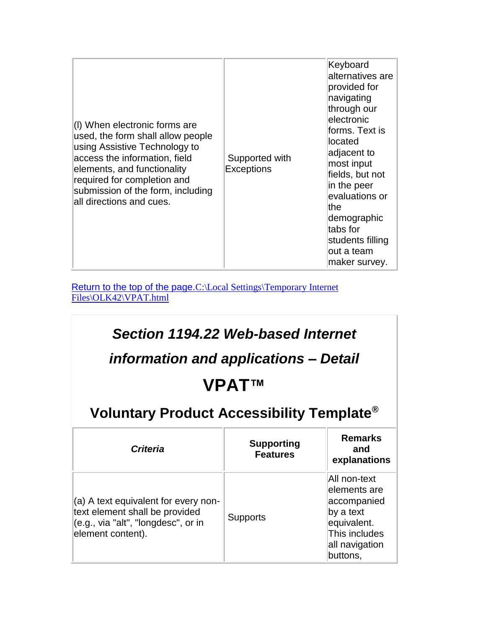| (I) When electronic forms are<br>used, the form shall allow people<br>using Assistive Technology to<br>access the information, field<br>elements, and functionality<br>required for completion and<br>submission of the form, including<br>all directions and cues. | Supported with<br><b>Exceptions</b> | Keyboard<br>alternatives are<br>provided for<br>navigating<br>through our<br>electronic<br>forms. Text is<br>llocated<br>adjacent to<br>most input<br>fields, but not<br>in the peer<br>evaluations or<br>lthe<br>demographic<br>tabs for<br>students filling<br>out a team<br>maker survey. |
|---------------------------------------------------------------------------------------------------------------------------------------------------------------------------------------------------------------------------------------------------------------------|-------------------------------------|----------------------------------------------------------------------------------------------------------------------------------------------------------------------------------------------------------------------------------------------------------------------------------------------|
|---------------------------------------------------------------------------------------------------------------------------------------------------------------------------------------------------------------------------------------------------------------------|-------------------------------------|----------------------------------------------------------------------------------------------------------------------------------------------------------------------------------------------------------------------------------------------------------------------------------------------|

<span id="page-4-0"></span>[Return to the top of the page.](#page-0-0)C:\Local Settings\Temporary Internet [Files\OLK42\VPAT.html](file:///C:/Local%20Settings/Temporary%20Internet%20Files/OLK42/VPAT.html)

| Section 1194.22 Web-based Internet<br>information and applications – Detail<br><b>VPATTM</b><br>Voluntary Product Accessibility Template <sup>®</sup> |                                      |                                                                                                                        |
|-------------------------------------------------------------------------------------------------------------------------------------------------------|--------------------------------------|------------------------------------------------------------------------------------------------------------------------|
| <b>Criteria</b>                                                                                                                                       | <b>Supporting</b><br><b>Features</b> | <b>Remarks</b><br>and<br>explanations                                                                                  |
| (a) A text equivalent for every non-<br>text element shall be provided<br>(e.g., via "alt", "longdesc", or in<br>element content).                    | <b>Supports</b>                      | All non-text<br>elements are<br>accompanied<br>by a text<br>equivalent.<br>This includes<br>all navigation<br>buttons, |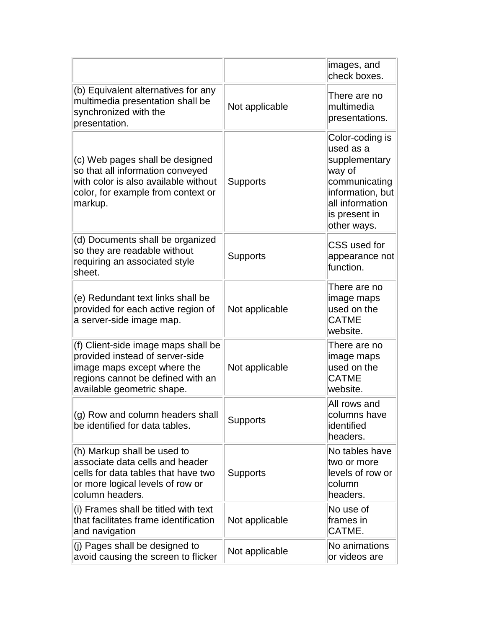|                                                                                                                                                                          |                 | images, and<br>check boxes.                                                                                                                     |
|--------------------------------------------------------------------------------------------------------------------------------------------------------------------------|-----------------|-------------------------------------------------------------------------------------------------------------------------------------------------|
| (b) Equivalent alternatives for any<br>multimedia presentation shall be<br>synchronized with the<br>presentation.                                                        | Not applicable  | There are no<br>multimedia<br>presentations.                                                                                                    |
| (c) Web pages shall be designed<br>so that all information conveyed<br>with color is also available without<br>color, for example from context or<br>markup.             | <b>Supports</b> | Color-coding is<br>used as a<br>supplementary<br>way of<br>communicating<br>information, but<br>all information<br>is present in<br>other ways. |
| (d) Documents shall be organized<br>so they are readable without<br>requiring an associated style<br>sheet.                                                              | <b>Supports</b> | CSS used for<br>appearance not<br>function.                                                                                                     |
| (e) Redundant text links shall be<br>provided for each active region of<br>a server-side image map.                                                                      | Not applicable  | There are no<br>image maps<br>used on the<br><b>CATME</b><br>website.                                                                           |
| (f) Client-side image maps shall be<br>provided instead of server-side<br>image maps except where the<br>regions cannot be defined with an<br>available geometric shape. | Not applicable  | There are no<br>image maps<br>used on the<br><b>CATME</b><br>website.                                                                           |
| (g) Row and column headers shall<br>be identified for data tables.                                                                                                       | <b>Supports</b> | All rows and<br>columns have<br>identified<br>headers.                                                                                          |
| (h) Markup shall be used to<br>associate data cells and header<br>cells for data tables that have two<br>or more logical levels of row or<br>column headers.             | <b>Supports</b> | No tables have<br>two or more<br>levels of row or<br>column<br>headers.                                                                         |
| (i) Frames shall be titled with text<br>that facilitates frame identification<br>and navigation                                                                          | Not applicable  | No use of<br>frames in<br>CATME.                                                                                                                |
| (j) Pages shall be designed to<br>avoid causing the screen to flicker                                                                                                    | Not applicable  | No animations<br>or videos are                                                                                                                  |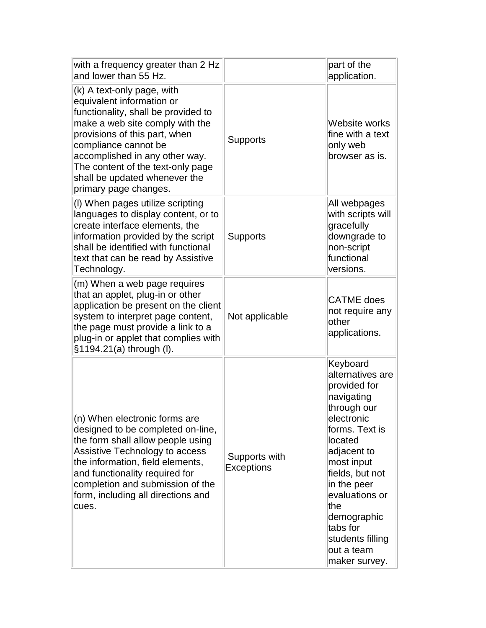| with a frequency greater than 2 Hz<br>and lower than 55 Hz.                                                                                                                                                                                                                                                                 |                                    | part of the<br>application.                                                                                                                                                                                                                                                                |
|-----------------------------------------------------------------------------------------------------------------------------------------------------------------------------------------------------------------------------------------------------------------------------------------------------------------------------|------------------------------------|--------------------------------------------------------------------------------------------------------------------------------------------------------------------------------------------------------------------------------------------------------------------------------------------|
| (k) A text-only page, with<br>equivalent information or<br>functionality, shall be provided to<br>make a web site comply with the<br>provisions of this part, when<br>compliance cannot be<br>accomplished in any other way.<br>The content of the text-only page<br>shall be updated whenever the<br>primary page changes. | <b>Supports</b>                    | Website works<br>fine with a text<br>only web<br>browser as is.                                                                                                                                                                                                                            |
| (I) When pages utilize scripting<br>languages to display content, or to<br>create interface elements, the<br>information provided by the script<br>shall be identified with functional<br>text that can be read by Assistive<br>Technology.                                                                                 | <b>Supports</b>                    | All webpages<br>with scripts will<br>gracefully<br>downgrade to<br>non-script<br>functional<br>versions.                                                                                                                                                                                   |
| (m) When a web page requires<br>that an applet, plug-in or other<br>application be present on the client<br>system to interpret page content,<br>the page must provide a link to a<br>plug-in or applet that complies with<br>§1194.21(a) through (I).                                                                      | Not applicable                     | <b>CATME</b> does<br>not require any<br>other<br>applications.                                                                                                                                                                                                                             |
| (n) When electronic forms are<br>designed to be completed on-line,<br>the form shall allow people using<br>Assistive Technology to access<br>the information, field elements,<br>and functionality required for<br>completion and submission of the<br>form, including all directions and<br>cues.                          | Supports with<br><b>Exceptions</b> | Keyboard<br>alternatives are<br>provided for<br>navigating<br>through our<br>electronic<br>forms. Text is<br>located<br>adjacent to<br>most input<br>fields, but not<br>in the peer<br>evaluations or<br>the<br>demographic<br>tabs for<br>students filling<br>out a team<br>maker survey. |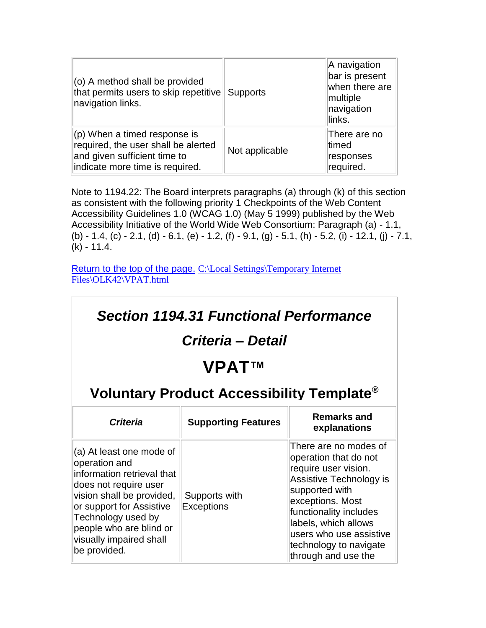| (o) A method shall be provided<br>that permits users to skip repetitive<br>navigation links.                                             | <b>Supports</b> | A navigation<br>bar is present<br>when there are<br>multiple<br>navigation<br>links. |
|------------------------------------------------------------------------------------------------------------------------------------------|-----------------|--------------------------------------------------------------------------------------|
| $(p)$ When a timed response is<br>required, the user shall be alerted<br>and given sufficient time to<br>indicate more time is required. | Not applicable  | There are no<br>timed<br>responses<br>required.                                      |

Note to 1194.22: The Board interprets paragraphs (a) through (k) of this section as consistent with the following priority 1 Checkpoints of the Web Content Accessibility Guidelines 1.0 (WCAG 1.0) (May 5 1999) published by the Web Accessibility Initiative of the World Wide Web Consortium: Paragraph (a) - 1.1, (b) - 1.4, (c) - 2.1, (d) - 6.1, (e) - 1.2, (f) - 9.1, (g) - 5.1, (h) - 5.2, (i) - 12.1, (j) - 7.1, (k) - 11.4.

<span id="page-7-0"></span>[Return to the top of the](#page-0-0) page. C:\Local Settings\Temporary Internet [Files\OLK42\VPAT.html](file:///C:/Local%20Settings/Temporary%20Internet%20Files/OLK42/VPAT.html)

| <b>Section 1194.31 Functional Performance</b><br>Criteria - Detail                                                                                                                                                                                    |                                    |                                                                                                                                                                                                                                                                       |  |
|-------------------------------------------------------------------------------------------------------------------------------------------------------------------------------------------------------------------------------------------------------|------------------------------------|-----------------------------------------------------------------------------------------------------------------------------------------------------------------------------------------------------------------------------------------------------------------------|--|
| <b>VPATTM</b>                                                                                                                                                                                                                                         |                                    |                                                                                                                                                                                                                                                                       |  |
| <b>Voluntary Product Accessibility Template<sup>®</sup></b>                                                                                                                                                                                           |                                    |                                                                                                                                                                                                                                                                       |  |
| <b>Criteria</b>                                                                                                                                                                                                                                       | <b>Supporting Features</b>         | <b>Remarks and</b><br>explanations                                                                                                                                                                                                                                    |  |
| (a) At least one mode of<br>operation and<br>information retrieval that<br>does not require user<br>vision shall be provided,<br>or support for Assistive<br>Technology used by<br>people who are blind or<br>visually impaired shall<br>be provided. | Supports with<br><b>Exceptions</b> | There are no modes of<br>operation that do not<br>require user vision.<br>Assistive Technology is<br>supported with<br>exceptions. Most<br>functionality includes<br>labels, which allows<br>users who use assistive<br>technology to navigate<br>through and use the |  |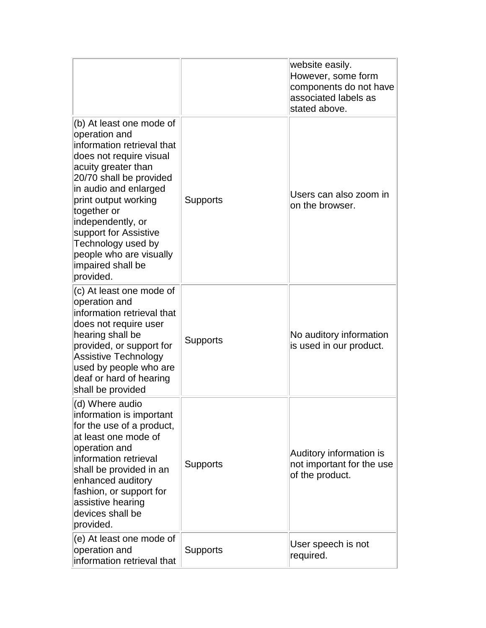|                                                                                                                                                                                                                                                                                                                                                       |                 | website easily.<br>However, some form<br>components do not have<br>associated labels as<br>stated above. |
|-------------------------------------------------------------------------------------------------------------------------------------------------------------------------------------------------------------------------------------------------------------------------------------------------------------------------------------------------------|-----------------|----------------------------------------------------------------------------------------------------------|
| (b) At least one mode of<br>operation and<br>information retrieval that<br>does not require visual<br>acuity greater than<br>20/70 shall be provided<br>in audio and enlarged<br>print output working<br>together or<br>independently, or<br>support for Assistive<br>Technology used by<br>people who are visually<br>impaired shall be<br>provided. | <b>Supports</b> | Users can also zoom in<br>on the browser.                                                                |
| (c) At least one mode of<br>operation and<br>information retrieval that<br>does not require user<br>hearing shall be<br>provided, or support for<br><b>Assistive Technology</b><br>used by people who are<br>deaf or hard of hearing<br>shall be provided                                                                                             | <b>Supports</b> | No auditory information<br>is used in our product.                                                       |
| (d) Where audio<br>information is important<br>for the use of a product,<br>at least one mode of<br>operation and<br>information retrieval<br>shall be provided in an<br>enhanced auditory<br>fashion, or support for<br>assistive hearing<br>devices shall be<br>provided.                                                                           | <b>Supports</b> | Auditory information is<br>not important for the use<br>of the product.                                  |
| (e) At least one mode of<br>operation and<br>information retrieval that                                                                                                                                                                                                                                                                               | <b>Supports</b> | User speech is not<br>required.                                                                          |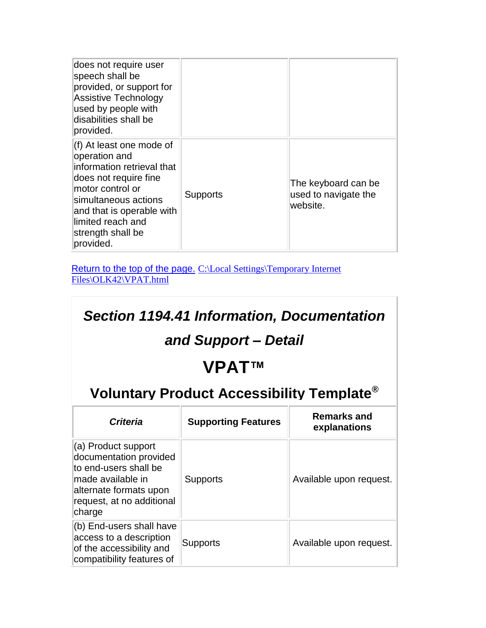| does not require user<br>speech shall be<br>provided, or support for<br><b>Assistive Technology</b><br>used by people with<br>disabilities shall be<br>provided.                                                                 |                 |                                                         |
|----------------------------------------------------------------------------------------------------------------------------------------------------------------------------------------------------------------------------------|-----------------|---------------------------------------------------------|
| (f) At least one mode of<br>operation and<br>information retrieval that<br>does not require fine<br>motor control or<br>simultaneous actions<br>and that is operable with<br>limited reach and<br>strength shall be<br>provided. | <b>Supports</b> | The keyboard can be<br>used to navigate the<br>website. |

<span id="page-9-0"></span>[Return to the top of the page.](#page-0-0) [C:\Local Settings\Temporary Internet](file:///C:/Local%20Settings/Temporary%20Internet%20Files/OLK42/VPAT.html)  [Files\OLK42\VPAT.html](file:///C:/Local%20Settings/Temporary%20Internet%20Files/OLK42/VPAT.html)

#### *Section 1194.41 Information, Documentation and Support – Detail* **VPAT™ Voluntary Product Accessibility Template® Criteria Supporting Features Remarks and <b>Remarks explanations** (a) Product support documentation provided to end-users shall be made available in alternate formats upon request, at no additional charge Supports **Available upon request.** (b) End-users shall have access to a description of the accessibility and compatibility features of  $\mathsf{Supports}$   $\parallel$  Available upon request.